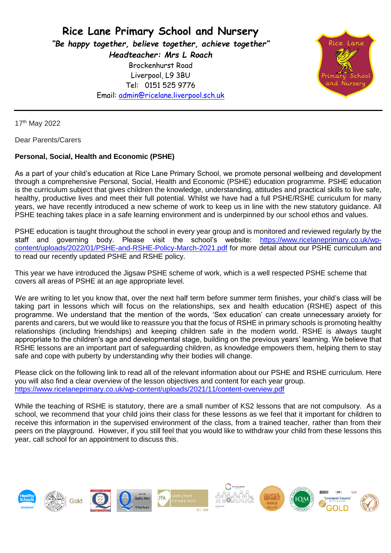**Rice Lane Primary School and Nursery** *"Be happy together, believe together, achieve together" Headteacher: Mrs L Roach* Brockenhurst Road Liverpool, L9 3BU Tel: 0151 525 9776 Email: [admin@ricelane.liverpool.sch.uk](mailto:admin@ricelane.liverpool.sch.uk)



17th May 2022

Dear Parents/Carers

## **Personal, Social, Health and Economic (PSHE)**

As a part of your child's education at Rice Lane Primary School, we promote personal wellbeing and development through a comprehensive Personal, Social, Health and Economic (PSHE) education programme. PSHE education is the curriculum subject that gives children the knowledge, understanding, attitudes and practical skills to live safe, healthy, productive lives and meet their full potential. Whilst we have had a full PSHE/RSHE curriculum for many years, we have recently introduced a new scheme of work to keep us in line with the new statutory guidance. All PSHE teaching takes place in a safe learning environment and is underpinned by our school ethos and values.

PSHE education is taught throughout the school in every year group and is monitored and reviewed regularly by the staff and governing body. Please visit the school's website: [https://www.ricelaneprimary.co.uk/wp](https://www.ricelaneprimary.co.uk/wp-content/uploads/2022/01/PSHE-and-RSHE-Policy-March-2021.pdf)[content/uploads/2022/01/PSHE-and-RSHE-Policy-March-2021.pdf](https://www.ricelaneprimary.co.uk/wp-content/uploads/2022/01/PSHE-and-RSHE-Policy-March-2021.pdf) for more detail about our PSHE curriculum and to read our recently updated PSHE and RSHE policy.

This year we have introduced the Jigsaw PSHE scheme of work, which is a well respected PSHE scheme that covers all areas of PSHE at an age appropriate level.

We are writing to let you know that, over the next half term before summer term finishes, your child's class will be taking part in lessons which will focus on the relationships, sex and health education (RSHE) aspect of this programme. We understand that the mention of the words, 'Sex education' can create unnecessary anxiety for parents and carers, but we would like to reassure you that the focus of RSHE in primary schools is promoting healthy relationships (including friendships) and keeping children safe in the modern world. RSHE is always taught appropriate to the children's age and developmental stage, building on the previous years' learning. We believe that RSHE lessons are an important part of safeguarding children, as knowledge empowers them, helping them to stay safe and cope with puberty by understanding why their bodies will change.

Please click on the following link to read all of the relevant information about our PSHE and RSHE curriculum. Here you will also find a clear overview of the lesson objectives and content for each year group. <https://www.ricelaneprimary.co.uk/wp-content/uploads/2021/11/content-overview.pdf>

While the teaching of RSHE is statutory, there are a small number of KS2 lessons that are not compulsory. As a school, we recommend that your child joins their class for these lessons as we feel that it important for children to receive this information in the supervised environment of the class, from a trained teacher, rather than from their peers on the playground. However, if you still feel that you would like to withdraw your child from these lessons this year, call school for an appointment to discuss this.